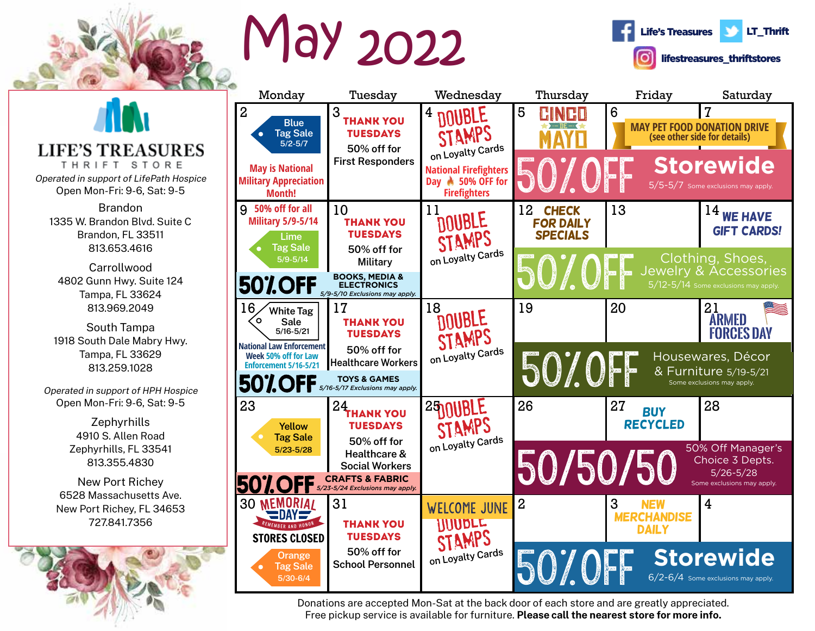

## May 2022





Donations are accepted Mon-Sat at the back door of each store and are greatly appreciated. Free pickup service is available for furniture. **Please call the nearest store for more info.**